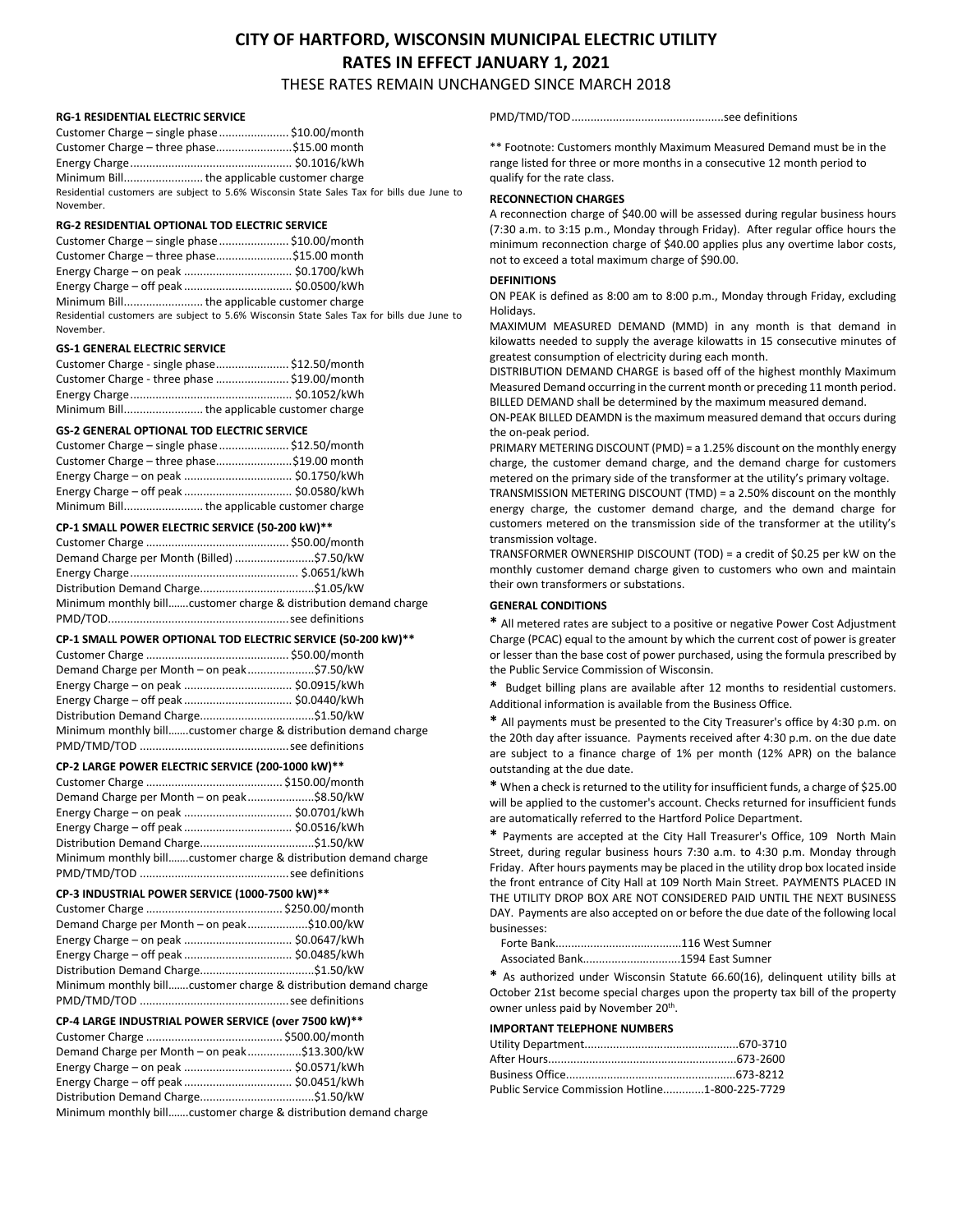# **CITY OF HARTFORD, WISCONSIN MUNICIPAL ELECTRIC UTILITY RATES IN EFFECT JANUARY 1, 2021**

THESE RATES REMAIN UNCHANGED SINCE MARCH 2018

## **RG-1 RESIDENTIAL ELECTRIC SERVICE**

| Customer Charge – single phase  \$10.00/month                                             |  |
|-------------------------------------------------------------------------------------------|--|
| Customer Charge - three phase \$15.00 month                                               |  |
|                                                                                           |  |
|                                                                                           |  |
| Residential customers are subject to 5.6% Wisconsin State Sales Tax for bills due June to |  |
| November.                                                                                 |  |

### **RG-2 RESIDENTIAL OPTIONAL TOD ELECTRIC SERVICE**

| Customer Charge - single phase  \$10.00/month                                             |  |
|-------------------------------------------------------------------------------------------|--|
| Customer Charge - three phase\$15.00 month                                                |  |
|                                                                                           |  |
|                                                                                           |  |
|                                                                                           |  |
| Residential customers are subject to 5.6% Wisconsin State Sales Tax for bills due June to |  |
| November.                                                                                 |  |

# **GS-1 GENERAL ELECTRIC SERVICE**

| Customer Charge - single phase \$12.50/month |  |
|----------------------------------------------|--|
| Customer Charge - three phase  \$19.00/month |  |
|                                              |  |
|                                              |  |

### **GS-2 GENERAL OPTIONAL TOD ELECTRIC SERVICE**

| Customer Charge - single phase  \$12.50/month |
|-----------------------------------------------|
| Customer Charge - three phase\$19.00 month    |
|                                               |
|                                               |
|                                               |

### **CP-1 SMALL POWER ELECTRIC SERVICE (50-200 kW)\*\***

| Demand Charge per Month (Billed) \$7.50/kW |                                                                  |
|--------------------------------------------|------------------------------------------------------------------|
|                                            |                                                                  |
|                                            |                                                                  |
|                                            | Minimum monthly billcustomer charge & distribution demand charge |
|                                            |                                                                  |

### **CP-1 SMALL POWER OPTIONAL TOD ELECTRIC SERVICE (50-200 kW)\*\***

| Demand Charge per Month – on peak\$7.50/kW                       |  |
|------------------------------------------------------------------|--|
|                                                                  |  |
|                                                                  |  |
|                                                                  |  |
| Minimum monthly billcustomer charge & distribution demand charge |  |

# PMD/TMD/TOD ...............................................see definitions **CP-2 LARGE POWER ELECTRIC SERVICE (200-1000 kW)\*\***

| Demand Charge per Month – on peak\$8.50/kW                       |  |
|------------------------------------------------------------------|--|
|                                                                  |  |
|                                                                  |  |
|                                                                  |  |
| Minimum monthly billcustomer charge & distribution demand charge |  |
|                                                                  |  |

#### **CP-3 INDUSTRIAL POWER SERVICE (1000-7500 kW)\*\***

| Demand Charge per Month - on peak\$10.00/kW                      |  |
|------------------------------------------------------------------|--|
|                                                                  |  |
|                                                                  |  |
|                                                                  |  |
| Minimum monthly billcustomer charge & distribution demand charge |  |
|                                                                  |  |
|                                                                  |  |

#### **CP-4 LARGE INDUSTRIAL POWER SERVICE (over 7500 kW)\*\***

| Demand Charge per Month - on peak\$13.300/kW |  |
|----------------------------------------------|--|
|                                              |  |
|                                              |  |
|                                              |  |

Minimum monthly bill…….customer charge & distribution demand charge

PMD/TMD/TOD................................................see definitions

\*\* Footnote: Customers monthly Maximum Measured Demand must be in the range listed for three or more months in a consecutive 12 month period to qualify for the rate class.

## **RECONNECTION CHARGES**

A reconnection charge of \$40.00 will be assessed during regular business hours (7:30 a.m. to 3:15 p.m., Monday through Friday). After regular office hours the minimum reconnection charge of \$40.00 applies plus any overtime labor costs, not to exceed a total maximum charge of \$90.00.

# **DEFINITIONS**

ON PEAK is defined as 8:00 am to 8:00 p.m., Monday through Friday, excluding Holidays.

MAXIMUM MEASURED DEMAND (MMD) in any month is that demand in kilowatts needed to supply the average kilowatts in 15 consecutive minutes of greatest consumption of electricity during each month.

DISTRIBUTION DEMAND CHARGE is based off of the highest monthly Maximum Measured Demand occurring in the current month or preceding 11 month period. BILLED DEMAND shall be determined by the maximum measured demand.

ON-PEAK BILLED DEAMDN is the maximum measured demand that occurs during the on-peak period.

PRIMARY METERING DISCOUNT (PMD) = a 1.25% discount on the monthly energy charge, the customer demand charge, and the demand charge for customers metered on the primary side of the transformer at the utility's primary voltage.

TRANSMISSION METERING DISCOUNT (TMD) = a 2.50% discount on the monthly energy charge, the customer demand charge, and the demand charge for customers metered on the transmission side of the transformer at the utility's transmission voltage.

TRANSFORMER OWNERSHIP DISCOUNT (TOD) = a credit of \$0.25 per kW on the monthly customer demand charge given to customers who own and maintain their own transformers or substations.

## **GENERAL CONDITIONS**

**\*** All metered rates are subject to a positive or negative Power Cost Adjustment Charge (PCAC) equal to the amount by which the current cost of power is greater or lesser than the base cost of power purchased, using the formula prescribed by the Public Service Commission of Wisconsin.

**\*** Budget billing plans are available after 12 months to residential customers. Additional information is available from the Business Office.

**\*** All payments must be presented to the City Treasurer's office by 4:30 p.m. on the 20th day after issuance. Payments received after 4:30 p.m. on the due date are subject to a finance charge of 1% per month (12% APR) on the balance outstanding at the due date.

**\*** When a check is returned to the utility for insufficient funds, a charge of \$25.00 will be applied to the customer's account. Checks returned for insufficient funds are automatically referred to the Hartford Police Department.

**\*** Payments are accepted at the City Hall Treasurer's Office, 109 North Main Street, during regular business hours 7:30 a.m. to 4:30 p.m. Monday through Friday. After hours payments may be placed in the utility drop box located inside the front entrance of City Hall at 109 North Main Street. PAYMENTS PLACED IN THE UTILITY DROP BOX ARE NOT CONSIDERED PAID UNTIL THE NEXT BUSINESS DAY. Payments are also accepted on or before the due date of the following local businesses:

 Forte Bank........................................116 West Sumner Associated Bank...............................1594 East Sumner

**\*** As authorized under Wisconsin Statute 66.60(16), delinquent utility bills at October 21st become special charges upon the property tax bill of the property owner unless paid by November 20<sup>th</sup>.

# **IMPORTANT TELEPHONE NUMBERS**

| Public Service Commission Hotline1-800-225-7729 |  |
|-------------------------------------------------|--|